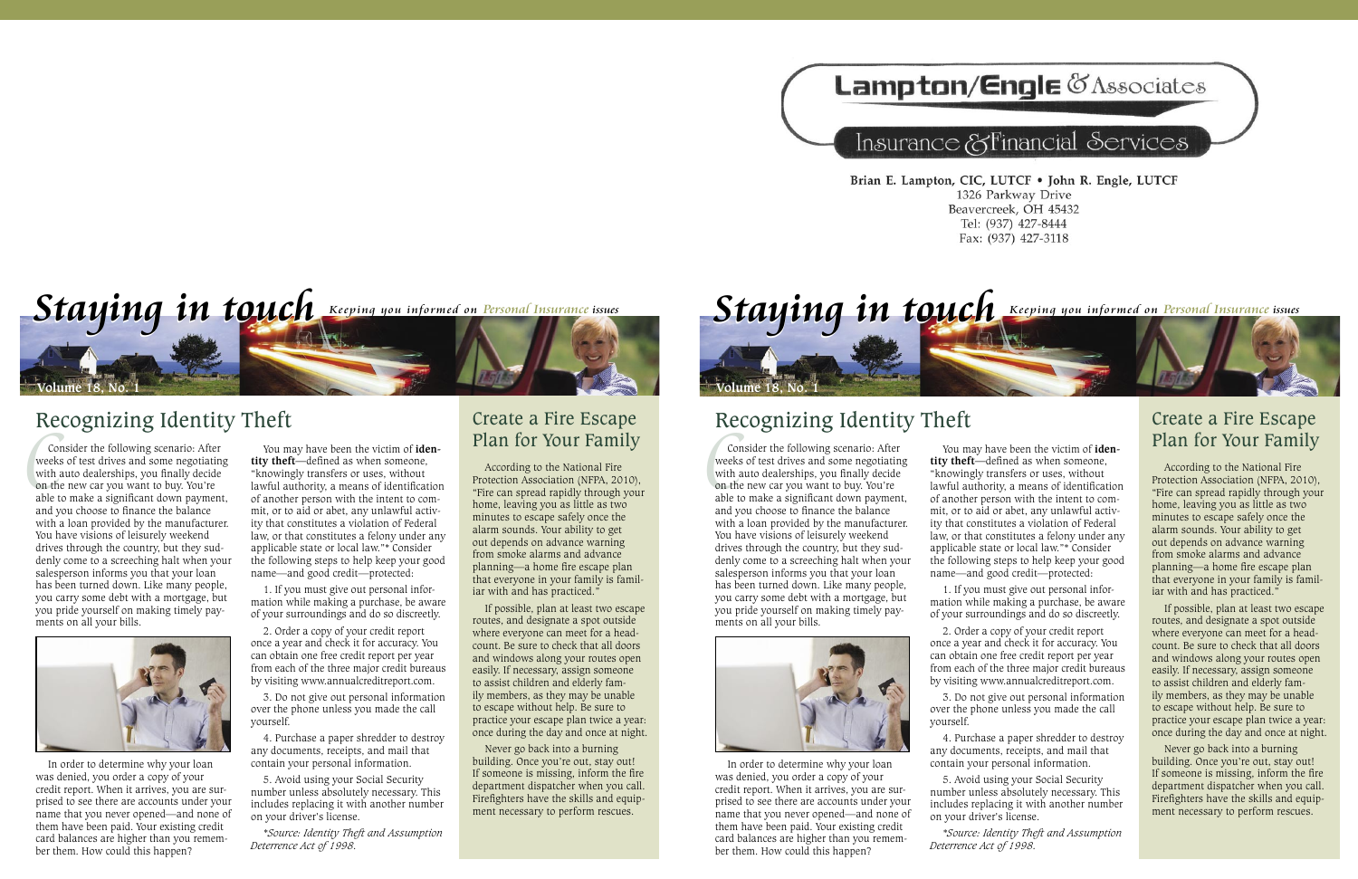# **Lampton/Engle & Associates**

## Insurance & Financial Services

Brian E. Lampton, CIC, LUTCF . John R. Engle, LUTCF 1326 Parkway Drive Beavercreek, OH 45432 Tel: (937) 427-8444 Fax: (937) 427-3118



## Recognizing Identity Theft

Co<br>week<br>with<br>on th Consider the following scenario: After weeks of test drives and some negotiating with auto dealerships, you finally decide on the new car you want to buy. You're able to make a significant down payment, and you choose to finance the balance with a loan provided by the manufacturer. You have visions of leisurely weekend drives through the country, but they suddenly come to a screeching halt when your salesperson informs you that your loan has been turned down. Like many people, you carry some debt with a mortgage, but you pride yourself on making timely payments on all your bills.



In order to determine why your loan was denied, you order a copy of your credit report. When it arrives, you are surprised to see there are accounts under your name that you never opened—and none of them have been paid. Your existing credit card balances are higher than you remember them. How could this happen?

You may have been the victim of **identity theft—**defined as when someone, "knowingly transfers or uses, without lawful authority, a means of identification of another person with the intent to commit, or to aid or abet, any unlawful activity that constitutes a violation of Federal law, or that constitutes a felony under any applicable state or local law."\* Consider the following steps to help keep your good name—and good credit—protected:

1. If you must give out personal information while making a purchase, be aware of your surroundings and do so discreetly.

2. Order a copy of your credit report once a year and check it for accuracy. You can obtain one free credit report per year from each of the three major credit bureaus by visiting www.annualcreditreport.com.

3. Do not give out personal information over the phone unless you made the call yourself.

4. Purchase a paper shredder to destroy any documents, receipts, and mail that contain your personal information.

5. Avoid using your Social Security number unless absolutely necessary. This includes replacing it with another number on your driver's license.

*\*Source: Identity Theft and Assumption Deterrence Act of 1998.*

### Create a Fire Escape Plan for Your Family

According to the National Fire Protection Association (NFPA, 2010), "Fire can spread rapidly through your home, leaving you as little as two minutes to escape safely once the alarm sounds. Your ability to get out depends on advance warning from smoke alarms and advance planning—a home fire escape plan that everyone in your family is familiar with and has practiced."

If possible, plan at least two escape routes, and designate a spot outside where everyone can meet for a headcount. Be sure to check that all doors and windows along your routes open easily. If necessary, assign someone to assist children and elderly family members, as they may be unable to escape without help. Be sure to practice your escape plan twice a year: once during the day and once at night.

Never go back into a burning building. Once you're out, stay out! If someone is missing, inform the fire department dispatcher when you call. Firefighters have the skills and equipment necessary to perform rescues.